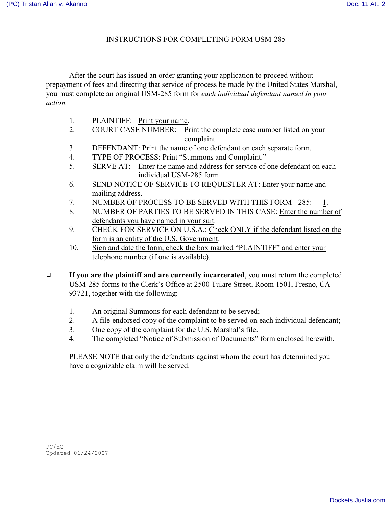## INSTRUCTIONS FOR COMPLETING FORM USM-285

After the court has issued an order granting your application to proceed without prepayment of fees and directing that service of process be made by the United States Marshal, you must complete an original USM-285 form for *each individual defendant named in your action.*

- 1. PLAINTIFF: Print your name.
- 2. COURT CASE NUMBER: Print the complete case number listed on your complaint.
- 3. DEFENDANT: Print the name of one defendant on each separate form.
- 4. TYPE OF PROCESS: Print "Summons and Complaint."
- 5. SERVE AT: Enter the name and address for service of one defendant on each individual USM-285 form.
- 6. SEND NOTICE OF SERVICE TO REQUESTER AT: Enter your name and mailing address.
- 7. NUMBER OF PROCESS TO BE SERVED WITH THIS FORM 285: 1.
- 8. NUMBER OF PARTIES TO BE SERVED IN THIS CASE: Enter the number of defendants you have named in your suit.
- 9. CHECK FOR SERVICE ON U.S.A.: Check ONLY if the defendant listed on the form is an entity of the U.S. Government.
- 10. Sign and date the form, check the box marked "PLAINTIFF" and enter your telephone number (if one is available).
- 9 **If you are the plaintiff and are currently incarcerated**, you must return the completed USM-285 forms to the Clerk's Office at 2500 Tulare Street, Room 1501, Fresno, CA 93721, together with the following:
	- 1. An original Summons for each defendant to be served;
	- 2. A file-endorsed copy of the complaint to be served on each individual defendant;
	- 3. One copy of the complaint for the U.S. Marshal's file.
	- 4. The completed "Notice of Submission of Documents" form enclosed herewith.

PLEASE NOTE that only the defendants against whom the court has determined you have a cognizable claim will be served.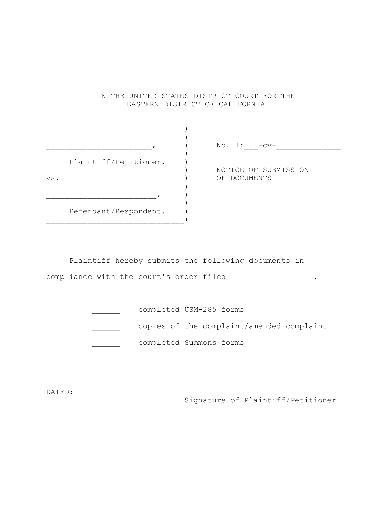## IN THE UNITED STATES DISTRICT COURT FOR THE EASTERN DISTRICT OF CALIFORNIA

|     |                       | No. $1:$ -cv-                        |
|-----|-----------------------|--------------------------------------|
| VS. | Plaintiff/Petitioner, | NOTICE OF SUBMISSION<br>OF DOCUMENTS |
|     |                       |                                      |
|     | Defendant/Respondent. |                                      |

Plaintiff hereby submits the following documents in compliance with the court's order filed \_\_\_\_\_\_\_\_\_\_\_\_\_\_\_\_\_\_\_\_\_\_.

|  | completed USM-285 forms                   |  |
|--|-------------------------------------------|--|
|  | copies of the complaint/amended complaint |  |
|  | completed Summons forms                   |  |

DATED:\_\_\_\_\_\_\_\_\_\_\_\_\_\_\_ \_\_\_\_\_\_\_\_\_\_\_\_\_\_\_\_\_\_\_\_\_\_\_\_\_\_\_\_\_\_\_\_\_

Signature of Plaintiff/Petitioner